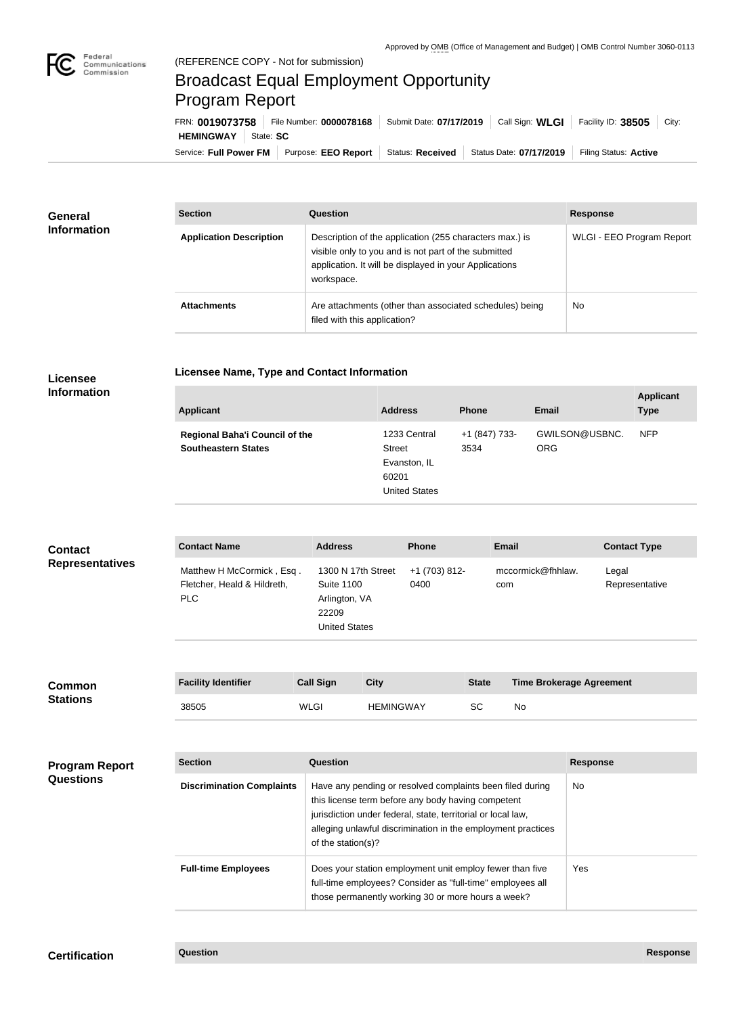

## Broadcast Equal Employment Opportunity Program Report

**Licensee Name, Type and Contact Information**

Service: Full Power FM Purpose: EEO Report | Status: Received | Status Date: 07/17/2019 | Filing Status: Active **HEMINGWAY** State: SC FRN: **0019073758** File Number: **0000078168** Submit Date: **07/17/2019** Call Sign: **WLGI** Facility ID: **38505** City:

| <b>General</b><br><b>Information</b> | <b>Section</b>                 | Question                                                                                                                                                                                | <b>Response</b>           |
|--------------------------------------|--------------------------------|-----------------------------------------------------------------------------------------------------------------------------------------------------------------------------------------|---------------------------|
|                                      | <b>Application Description</b> | Description of the application (255 characters max.) is<br>visible only to you and is not part of the submitted<br>application. It will be displayed in your Applications<br>workspace. | WLGI - EEO Program Report |
|                                      | <b>Attachments</b>             | Are attachments (other than associated schedules) being<br>filed with this application?                                                                                                 | <b>No</b>                 |

## **Licensee Information**

| <b>Applicant</b>                                                    | <b>Address</b>                                                                 | <b>Phone</b>          | Email                        | <b>Applicant</b><br><b>Type</b> |
|---------------------------------------------------------------------|--------------------------------------------------------------------------------|-----------------------|------------------------------|---------------------------------|
| <b>Regional Baha'i Council of the</b><br><b>Southeastern States</b> | 1233 Central<br><b>Street</b><br>Evanston, IL<br>60201<br><b>United States</b> | +1 (847) 733-<br>3534 | GWILSON@USBNC.<br><b>ORG</b> | <b>NFP</b>                      |

| <b>Contact</b>         | <b>Contact Name</b>                                              | <b>Address</b>                                                                            | <b>Phone</b>          | <b>Email</b>             | <b>Contact Type</b>     |
|------------------------|------------------------------------------------------------------|-------------------------------------------------------------------------------------------|-----------------------|--------------------------|-------------------------|
| <b>Representatives</b> | Matthew H McCormick, Esq.<br>Fletcher, Heald & Hildreth,<br>PLC. | 1300 N 17th Street<br><b>Suite 1100</b><br>Arlington, VA<br>22209<br><b>United States</b> | +1 (703) 812-<br>0400 | mccormick@fhhlaw.<br>com | Legal<br>Representative |

| <b>Common</b><br><b>Stations</b> | <b>Facility Identifier</b> | <b>Call Sign</b> | <b>City</b>      | <b>State</b> | <b>Time Brokerage Agreement</b> |
|----------------------------------|----------------------------|------------------|------------------|--------------|---------------------------------|
|                                  | 38505                      | <b>WLGI</b>      | <b>HEMINGWAY</b> | <b>SC</b>    | <b>No</b>                       |

| <b>Program Report</b><br><b>Questions</b> | <b>Section</b>                   | Question                                                                                                                                                                                                                                                              | <b>Response</b> |
|-------------------------------------------|----------------------------------|-----------------------------------------------------------------------------------------------------------------------------------------------------------------------------------------------------------------------------------------------------------------------|-----------------|
|                                           | <b>Discrimination Complaints</b> | Have any pending or resolved complaints been filed during<br>this license term before any body having competent<br>jurisdiction under federal, state, territorial or local law,<br>alleging unlawful discrimination in the employment practices<br>of the station(s)? | No.             |
|                                           | <b>Full-time Employees</b>       | Does your station employment unit employ fewer than five<br>full-time employees? Consider as "full-time" employees all<br>those permanently working 30 or more hours a week?                                                                                          | Yes.            |